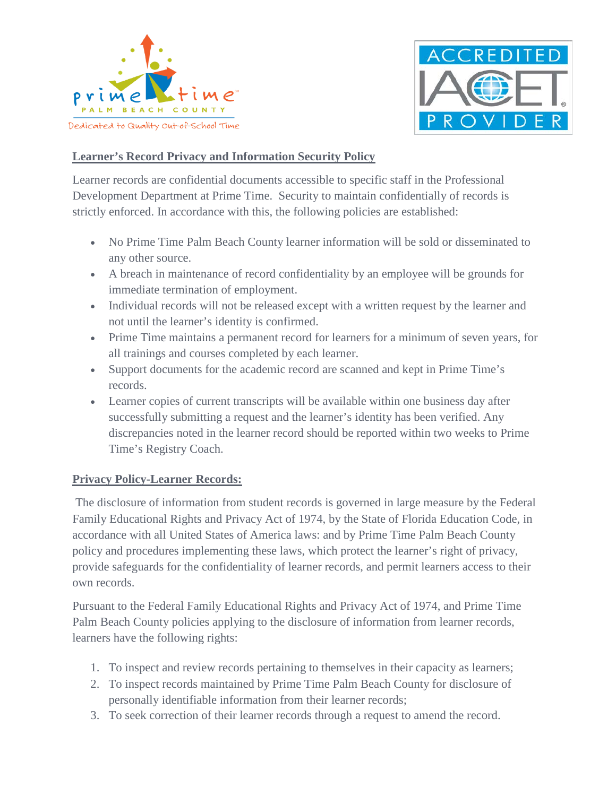



### **Learner's Record Privacy and Information Security Policy**

Learner records are confidential documents accessible to specific staff in the Professional Development Department at Prime Time. Security to maintain confidentially of records is strictly enforced. In accordance with this, the following policies are established:

- No Prime Time Palm Beach County learner information will be sold or disseminated to any other source.
- A breach in maintenance of record confidentiality by an employee will be grounds for immediate termination of employment.
- Individual records will not be released except with a written request by the learner and not until the learner's identity is confirmed.
- Prime Time maintains a permanent record for learners for a minimum of seven years, for all trainings and courses completed by each learner.
- Support documents for the academic record are scanned and kept in Prime Time's records.
- Learner copies of current transcripts will be available within one business day after successfully submitting a request and the learner's identity has been verified. Any discrepancies noted in the learner record should be reported within two weeks to Prime Time's Registry Coach.

### **Privacy Policy-Learner Records:**

The disclosure of information from student records is governed in large measure by the Federal Family Educational Rights and Privacy Act of 1974, by the State of Florida Education Code, in accordance with all United States of America laws: and by Prime Time Palm Beach County policy and procedures implementing these laws, which protect the learner's right of privacy, provide safeguards for the confidentiality of learner records, and permit learners access to their own records.

Pursuant to the Federal Family Educational Rights and Privacy Act of 1974, and Prime Time Palm Beach County policies applying to the disclosure of information from learner records, learners have the following rights:

- 1. To inspect and review records pertaining to themselves in their capacity as learners;
- 2. To inspect records maintained by Prime Time Palm Beach County for disclosure of personally identifiable information from their learner records;
- 3. To seek correction of their learner records through a request to amend the record.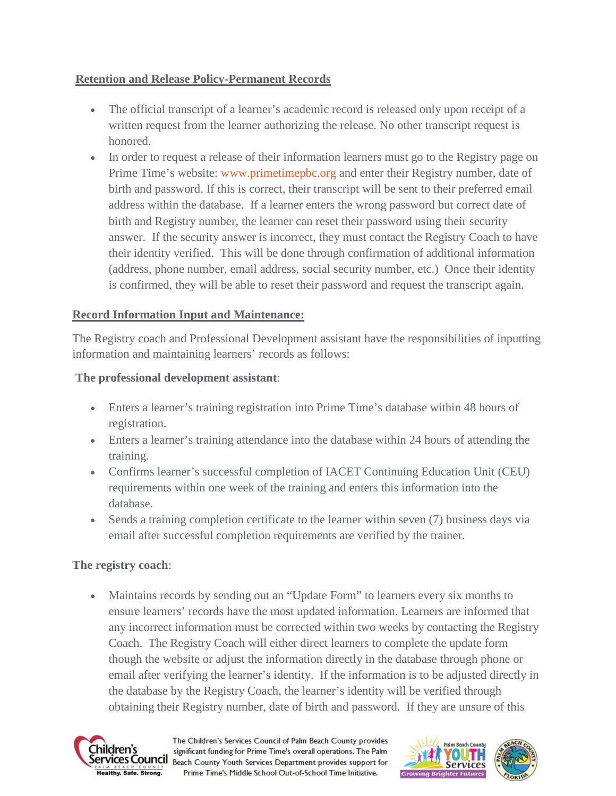## **Retention and Release Policy-Permanent Records**

- The official transcript of a learner's academic record is released only upon receipt of a written request from the learner authorizing the release. No other transcript request is honored.
- In order to request a release of their information learners must go to the Registry page on Prime Time's website: [www.primetimepbc.org](https://www.primetimepbc.org/) and enter their Registry number, date of birth and password. If this is correct, their transcript will be sent to their preferred email address within the database. If a learner enters the wrong password but correct date of birth and Registry number, the learner can reset their password using their security answer. If the security answer is incorrect, they must contact the Registry Coach to have their identity verified. This will be done through confirmation of additional information (address, phone number, email address, social security number, etc.) Once their identity is confirmed, they will be able to reset their password and request the transcript again.

# **Record Information Input and Maintenance:**

The Registry coach and Professional Development assistant have the responsibilities of inputting information and maintaining learners' records as follows:

## **The professional development assistant**:

- Enters a learner's training registration into Prime Time's database within 48 hours of registration.
- Enters a learner's training attendance into the database within 24 hours of attending the training.
- Confirms learner's successful completion of IACET Continuing Education Unit (CEU) requirements within one week of the training and enters this information into the database.
- Sends a training completion certificate to the learner within seven (7) business days via email after successful completion requirements are verified by the trainer.

## **The registry coach**:

• Maintains records by sending out an "Update Form" to learners every six months to ensure learners' records have the most updated information. Learners are informed that any incorrect information must be corrected within two weeks by contacting the Registry Coach. The Registry Coach will either direct learners to complete the update form though the website or adjust the information directly in the database through phone or email after verifying the learner's identity. If the information is to be adjusted directly in the database by the Registry Coach, the learner's identity will be verified through obtaining their Registry number, date of birth and password. If they are unsure of this



The Children's Services Council of Palm Beach County provides significant funding for Prime Time's overall operations. The Palm **Services Council** Beach County Youth Services Department provides support for Prime Time's Middle School Out-of-School Time Initiative.